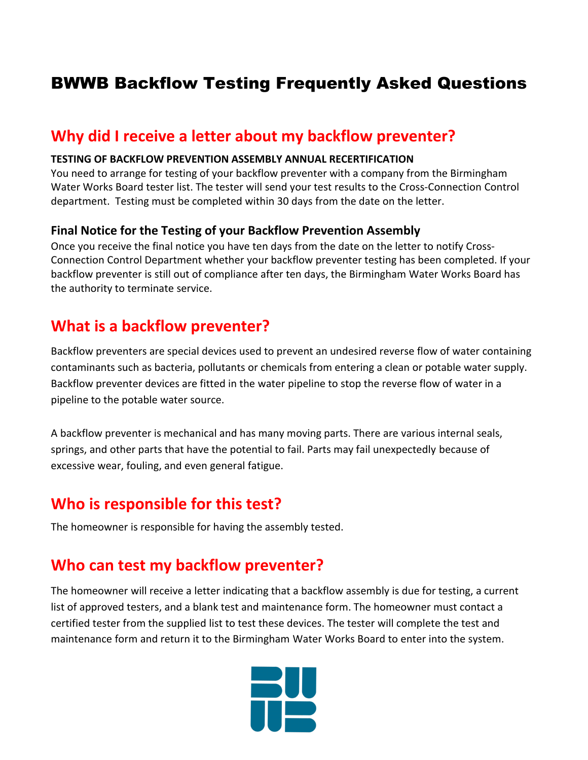# BWWB Backflow Testing Frequently Asked Questions

### **Why did I receive a letter about my backflow preventer?**

#### **TESTING OF BACKFLOW PREVENTION ASSEMBLY ANNUAL RECERTIFICATION**

You need to arrange for testing of your backflow preventer with a company from the Birmingham Water Works Board tester list. The tester will send your test results to the Cross-Connection Control department. Testing must be completed within 30 days from the date on the letter.

#### **Final Notice for the Testing of your Backflow Prevention Assembly**

Once you receive the final notice you have ten days from the date on the letter to notify Cross-Connection Control Department whether your backflow preventer testing has been completed. If your backflow preventer is still out of compliance after ten days, the Birmingham Water Works Board has the authority to terminate service.

### **What is a backflow preventer?**

Backflow preventers are special devices used to prevent an undesired reverse flow of water containing contaminants such as bacteria, pollutants or chemicals from entering a clean or potable water supply. Backflow preventer devices are fitted in the water pipeline to stop the reverse flow of water in a pipeline to the potable water source.

A backflow preventer is mechanical and has many moving parts. There are various internal seals, springs, and other parts that have the potential to fail. Parts may fail unexpectedly because of excessive wear, fouling, and even general fatigue.

## **Who is responsible for this test?**

The homeowner is responsible for having the assembly tested.

## **Who can test my backflow preventer?**

The homeowner will receive a letter indicating that a backflow assembly is due for testing, a current list of approved testers, and a blank test and maintenance form. The homeowner must contact a certified tester from the supplied list to test these devices. The tester will complete the test and maintenance form and return it to the Birmingham Water Works Board to enter into the system.

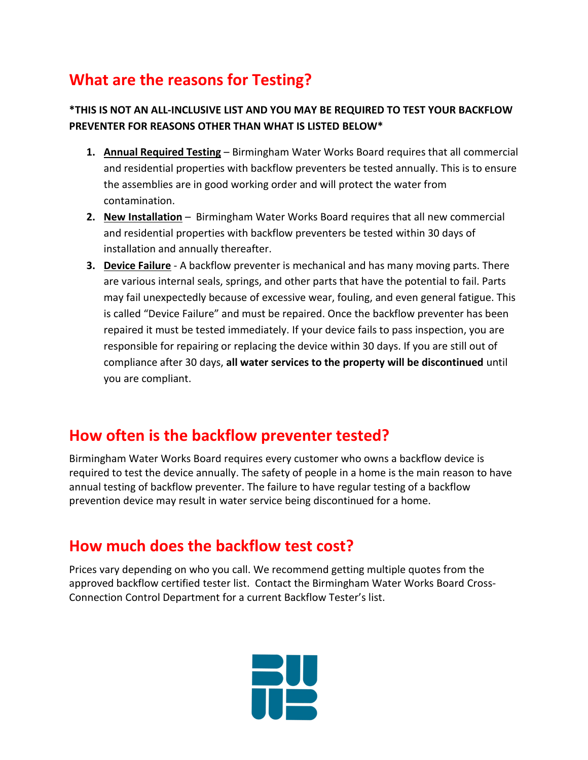# **What are the reasons for Testing?**

#### **\*THIS IS NOT AN ALL-INCLUSIVE LIST AND YOU MAY BE REQUIRED TO TEST YOUR BACKFLOW PREVENTER FOR REASONS OTHER THAN WHAT IS LISTED BELOW\***

- **1. Annual Required Testing** Birmingham Water Works Board requires that all commercial and residential properties with backflow preventers be tested annually. This is to ensure the assemblies are in good working order and will protect the water from contamination.
- **2. New Installation** Birmingham Water Works Board requires that all new commercial and residential properties with backflow preventers be tested within 30 days of installation and annually thereafter.
- **3. Device Failure** A backflow preventer is mechanical and has many moving parts. There are various internal seals, springs, and other parts that have the potential to fail. Parts may fail unexpectedly because of excessive wear, fouling, and even general fatigue. This is called "Device Failure" and must be repaired. Once the backflow preventer has been repaired it must be tested immediately. If your device fails to pass inspection, you are responsible for repairing or replacing the device within 30 days. If you are still out of compliance after 30 days, **all water services to the property will be discontinued** until you are compliant.

## **How often is the backflow preventer tested?**

Birmingham Water Works Board requires every customer who owns a backflow device is required to test the device annually. The safety of people in a home is the main reason to have annual testing of backflow preventer. The failure to have regular testing of a backflow prevention device may result in water service being discontinued for a home.

## **How much does the backflow test cost?**

Prices vary depending on who you call. We recommend getting multiple quotes from the approved backflow certified tester list. Contact the Birmingham Water Works Board Cross-Connection Control Department for a current Backflow Tester's list.